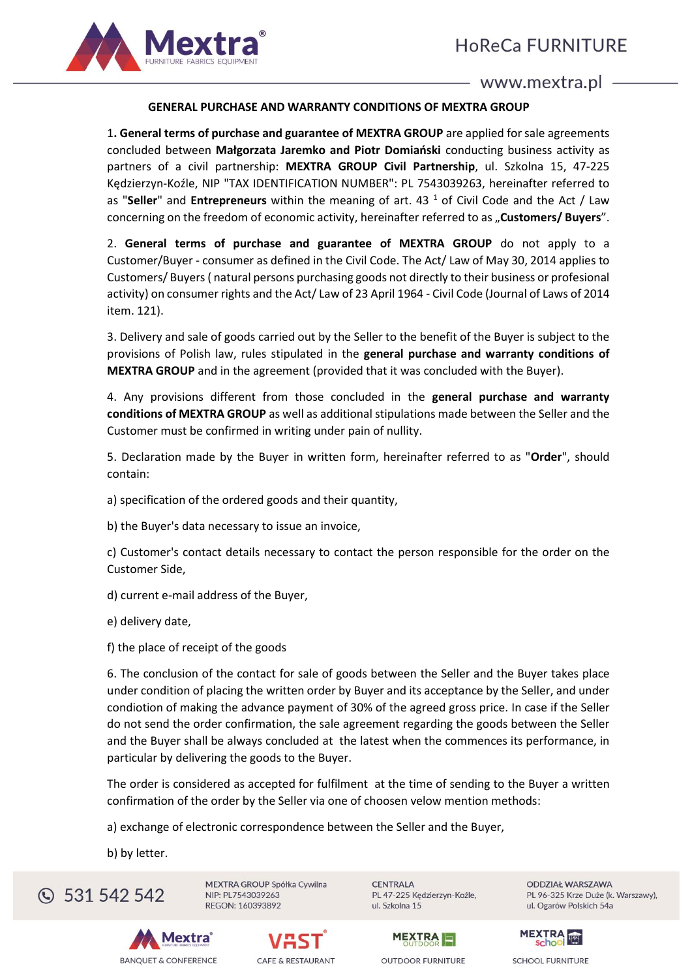

# **GENERAL PURCHASE AND WARRANTY CONDITIONS OF MEXTRA GROUP**

1**. General terms of purchase and guarantee of MEXTRA GROUP** are applied for sale agreements concluded between **Małgorzata Jaremko and Piotr Domiański** conducting business activity as partners of a civil partnership: **MEXTRA GROUP Civil Partnership**, ul. Szkolna 15, 47-225 Kędzierzyn-Koźle, NIP "TAX IDENTIFICATION NUMBER": PL 7543039263, hereinafter referred to as "**Seller**" and **Entrepreneurs** within the meaning of art. 43 <sup>1</sup> of Civil Code and the Act / Law concerning on the freedom of economic activity, hereinafter referred to as "Customers/ Buyers".

2. **General terms of purchase and guarantee of MEXTRA GROUP** do not apply to a Customer/Buyer - consumer as defined in the Civil Code. The Act/ Law of May 30, 2014 applies to Customers/ Buyers ( natural persons purchasing goods not directly to their business or profesional activity) on consumer rights and the Act/ Law of 23 April 1964 - Civil Code (Journal of Laws of 2014 item. 121).

3. Delivery and sale of goods carried out by the Seller to the benefit of the Buyer is subject to the provisions of Polish law, rules stipulated in the **general purchase and warranty conditions of MEXTRA GROUP** and in the agreement (provided that it was concluded with the Buyer).

4. Any provisions different from those concluded in the **general purchase and warranty conditions of MEXTRA GROUP** as well as additional stipulations made between the Seller and the Customer must be confirmed in writing under pain of nullity.

5. Declaration made by the Buyer in written form, hereinafter referred to as "**Order**", should contain:

a) specification of the ordered goods and their quantity,

b) the Buyer's data necessary to issue an invoice,

c) Customer's contact details necessary to contact the person responsible for the order on the Customer Side,

d) current e-mail address of the Buyer,

e) delivery date,

f) the place of receipt of the goods

6. The conclusion of the contact for sale of goods between the Seller and the Buyer takes place under condition of placing the written order by Buyer and its acceptance by the Seller, and under condiotion of making the advance payment of 30% of the agreed gross price. In case if the Seller do not send the order confirmation, the sale agreement regarding the goods between the Seller and the Buyer shall be always concluded at the latest when the commences its performance, in particular by delivering the goods to the Buyer.

The order is considered as accepted for fulfilment at the time of sending to the Buyer a written confirmation of the order by the Seller via one of choosen velow mention methods:

a) exchange of electronic correspondence between the Seller and the Buyer,

b) by letter.



MEXTRA GROUP Spółka Cywilna NIP: PL7543039263 REGON: 160393892

**CENTRALA** PL 47-225 Kędzierzyn-Koźle, ul. Szkolna 15

**ODDZIAŁ WARSZAWA** PL 96-325 Krze Duże (k. Warszawy), ul. Ogarów Polskich 54a







**OUTDOOR FURNITURE** 

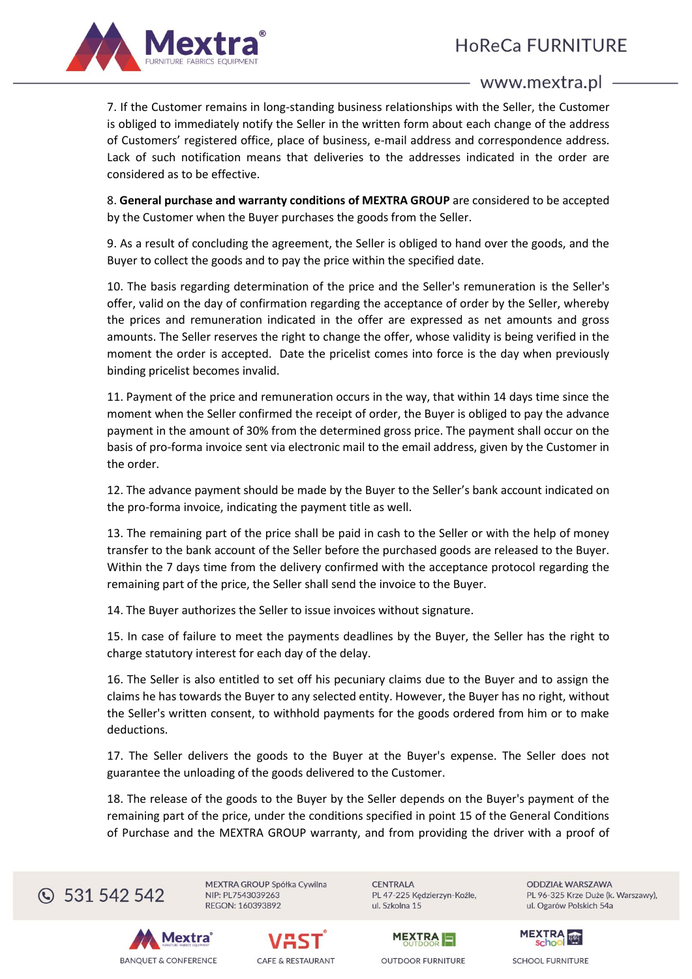

7. If the Customer remains in long-standing business relationships with the Seller, the Customer is obliged to immediately notify the Seller in the written form about each change of the address of Customers' registered office, place of business, e-mail address and correspondence address. Lack of such notification means that deliveries to the addresses indicated in the order are considered as to be effective.

8. **General purchase and warranty conditions of MEXTRA GROUP** are considered to be accepted by the Customer when the Buyer purchases the goods from the Seller.

9. As a result of concluding the agreement, the Seller is obliged to hand over the goods, and the Buyer to collect the goods and to pay the price within the specified date.

10. The basis regarding determination of the price and the Seller's remuneration is the Seller's offer, valid on the day of confirmation regarding the acceptance of order by the Seller, whereby the prices and remuneration indicated in the offer are expressed as net amounts and gross amounts. The Seller reserves the right to change the offer, whose validity is being verified in the moment the order is accepted. Date the pricelist comes into force is the day when previously binding pricelist becomes invalid.

11. Payment of the price and remuneration occurs in the way, that within 14 days time since the moment when the Seller confirmed the receipt of order, the Buyer is obliged to pay the advance payment in the amount of 30% from the determined gross price. The payment shall occur on the basis of pro-forma invoice sent via electronic mail to the email address, given by the Customer in the order.

12. The advance payment should be made by the Buyer to the Seller's bank account indicated on the pro-forma invoice, indicating the payment title as well.

13. The remaining part of the price shall be paid in cash to the Seller or with the help of money transfer to the bank account of the Seller before the purchased goods are released to the Buyer. Within the 7 days time from the delivery confirmed with the acceptance protocol regarding the remaining part of the price, the Seller shall send the invoice to the Buyer.

14. The Buyer authorizes the Seller to issue invoices without signature.

15. In case of failure to meet the payments deadlines by the Buyer, the Seller has the right to charge statutory interest for each day of the delay.

16. The Seller is also entitled to set off his pecuniary claims due to the Buyer and to assign the claims he has towards the Buyer to any selected entity. However, the Buyer has no right, without the Seller's written consent, to withhold payments for the goods ordered from him or to make deductions.

17. The Seller delivers the goods to the Buyer at the Buyer's expense. The Seller does not guarantee the unloading of the goods delivered to the Customer.

18. The release of the goods to the Buyer by the Seller depends on the Buyer's payment of the remaining part of the price, under the conditions specified in point 15 of the General Conditions of Purchase and the MEXTRA GROUP warranty, and from providing the driver with a proof of



MEXTRA GROUP Spółka Cywilna NIP: PL7543039263 REGON: 160393892

**CENTRALA** PL 47-225 Kędzierzyn-Koźle, ul. Szkolna 15

**ODDZIAŁ WARSZAWA** PL 96-325 Krze Duże (k. Warszawy), ul. Ogarów Polskich 54a







**OUTDOOR FURNITURE** 

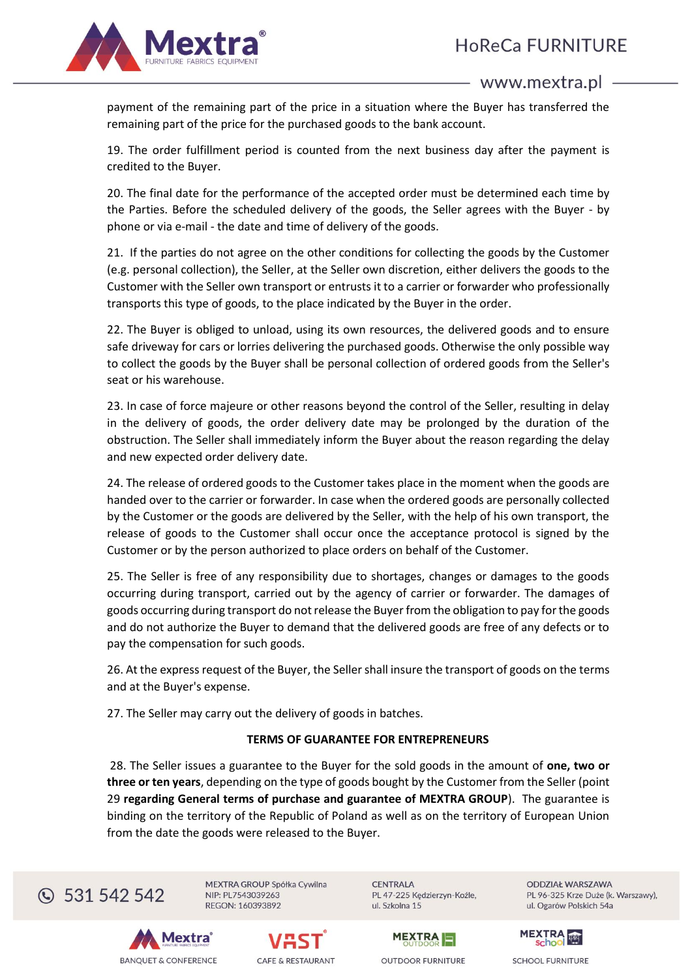

payment of the remaining part of the price in a situation where the Buyer has transferred the remaining part of the price for the purchased goods to the bank account.

19. The order fulfillment period is counted from the next business day after the payment is credited to the Buyer.

20. The final date for the performance of the accepted order must be determined each time by the Parties. Before the scheduled delivery of the goods, the Seller agrees with the Buyer - by phone or via e-mail - the date and time of delivery of the goods.

21. If the parties do not agree on the other conditions for collecting the goods by the Customer (e.g. personal collection), the Seller, at the Seller own discretion, either delivers the goods to the Customer with the Seller own transport or entrusts it to a carrier or forwarder who professionally transports this type of goods, to the place indicated by the Buyer in the order.

22. The Buyer is obliged to unload, using its own resources, the delivered goods and to ensure safe driveway for cars or lorries delivering the purchased goods. Otherwise the only possible way to collect the goods by the Buyer shall be personal collection of ordered goods from the Seller's seat or his warehouse.

23. In case of force majeure or other reasons beyond the control of the Seller, resulting in delay in the delivery of goods, the order delivery date may be prolonged by the duration of the obstruction. The Seller shall immediately inform the Buyer about the reason regarding the delay and new expected order delivery date.

24. The release of ordered goods to the Customer takes place in the moment when the goods are handed over to the carrier or forwarder. In case when the ordered goods are personally collected by the Customer or the goods are delivered by the Seller, with the help of his own transport, the release of goods to the Customer shall occur once the acceptance protocol is signed by the Customer or by the person authorized to place orders on behalf of the Customer.

25. The Seller is free of any responsibility due to shortages, changes or damages to the goods occurring during transport, carried out by the agency of carrier or forwarder. The damages of goods occurring during transport do not release the Buyer from the obligation to pay for the goods and do not authorize the Buyer to demand that the delivered goods are free of any defects or to pay the compensation for such goods.

26. At the express request of the Buyer, the Seller shall insure the transport of goods on the terms and at the Buyer's expense.

27. The Seller may carry out the delivery of goods in batches.

# **TERMS OF GUARANTEE FOR ENTREPRENEURS**

28. The Seller issues a guarantee to the Buyer for the sold goods in the amount of **one, two or three or ten years**, depending on the type of goods bought by the Customer from the Seller (point 29 **regarding General terms of purchase and guarantee of MEXTRA GROUP**). The guarantee is binding on the territory of the Republic of Poland as well as on the territory of European Union from the date the goods were released to the Buyer.



MEXTRA GROUP Spółka Cywilna NIP: PL7543039263 REGON: 160393892

**CENTRALA** PL 47-225 Kędzierzyn-Koźle, ul. Szkolna 15

**ODDZIAŁ WARSZAWA** PL 96-325 Krze Duże (k. Warszawy), ul. Ogarów Polskich 54a







**OUTDOOR FURNITURE** 

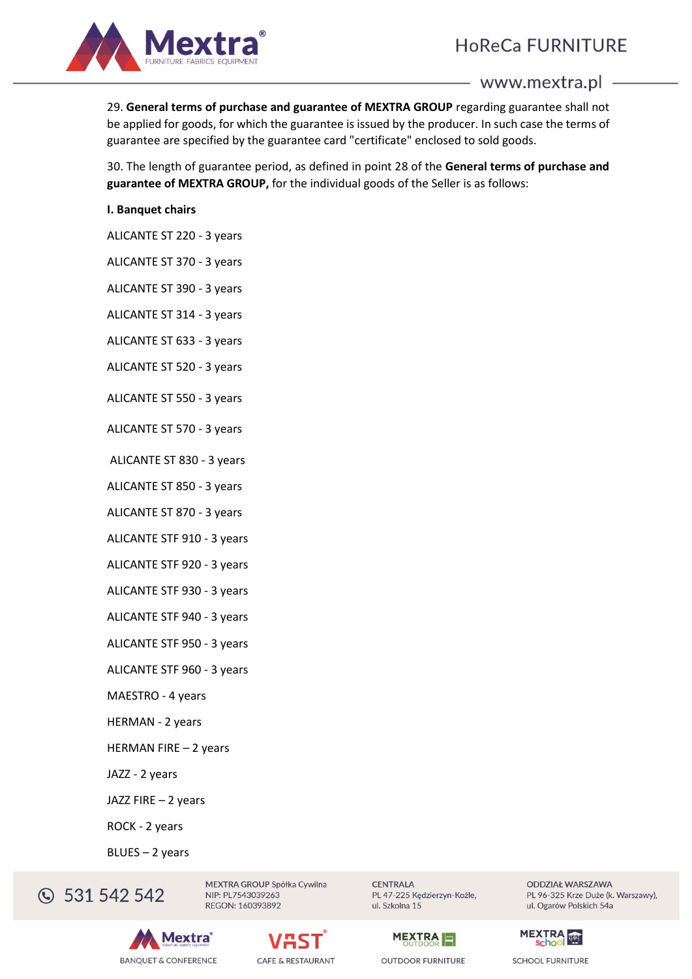# **HoReCa FURNITURE**



www.mextra.pl

29. **General terms of purchase and guarantee of MEXTRA GROUP** regarding guarantee shall not be applied for goods, for which the guarantee is issued by the producer. In such case the terms of guarantee are specified by the guarantee card "certificate" enclosed to sold goods.

30. The length of guarantee period, as defined in point 28 of the **General terms of purchase and guarantee of MEXTRA GROUP,** for the individual goods of the Seller is as follows:

#### **I. Banquet chairs**

ALICANTE ST 220 - 3 years

ALICANTE ST 370 - 3 years

ALICANTE ST 390 - 3 years

ALICANTE ST 314 - 3 years

ALICANTE ST 633 - 3 years

ALICANTE ST 520 - 3 years

ALICANTE ST 550 - 3 years

ALICANTE ST 570 - 3 years

ALICANTE ST 830 - 3 years

ALICANTE ST 850 - 3 years

ALICANTE ST 870 - 3 years

ALICANTE STF 910 - 3 years

ALICANTE STF 920 - 3 years

ALICANTE STF 930 - 3 years

ALICANTE STF 940 - 3 years

ALICANTE STF 950 - 3 years

ALICANTE STF 960 - 3 years

MAESTRO - 4 years

HERMAN - 2 years

HERMAN FIRE – 2 years

JAZZ - 2 years

JAZZ FIRE – 2 years

ROCK - 2 years

BLUES – 2 years

C 531 542 542

**lextra BANQUET & CONFERENCE** 



MEXTRA GROUP Spółka Cywilna

NIP: PL7543039263

REGON: 160393892

**CENTRALA** PL 47-225 Kędzierzyn-Koźle, ul. Szkolna 15



**OUTDOOR FURNITURE** 

**ODDZIAŁ WARSZAWA** PL 96-325 Krze Duże (k. Warszawy), ul. Ogarów Polskich 54a

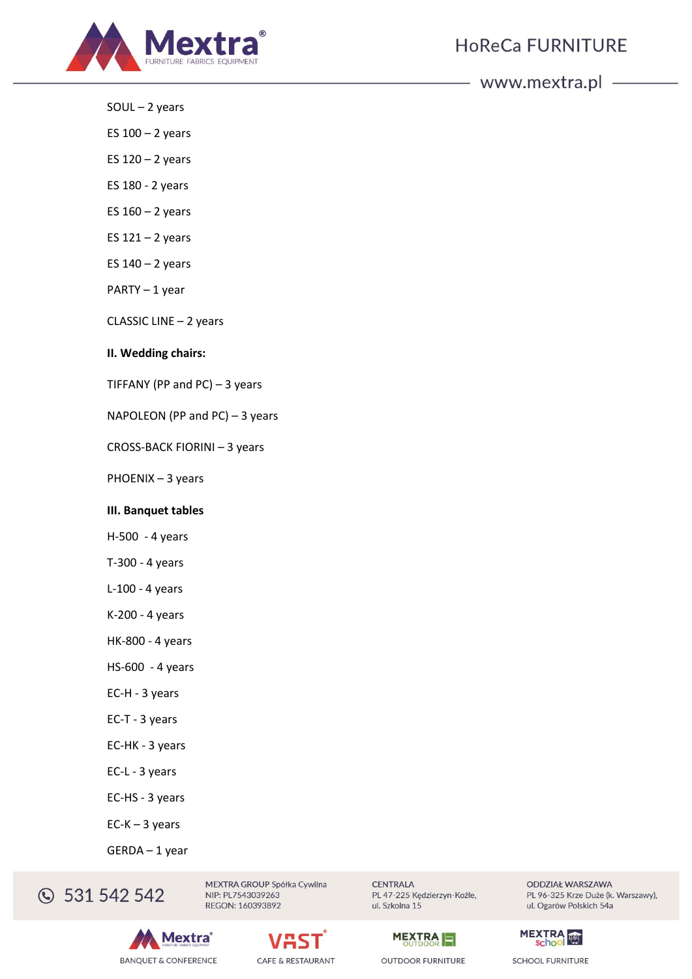

- SOUL 2 years
- ES  $100 2$  years
- ES  $120 2$  years
- ES 180 2 years
- ES  $160 2$  years
- ES  $121 2$  years
- ES  $140 2$  years
- PARTY 1 year
- CLASSIC LINE 2 years

#### **II. Wedding chairs:**

TIFFANY (PP and PC) – 3 years

NAPOLEON (PP and PC) – 3 years

CROSS-BACK FIORINI – 3 years

PHOENIX – 3 years

#### **III. Banquet tables**

- H-500 4 years
- T-300 4 years
- L-100 4 years
- K-200 4 years
- HK-800 4 years
- HS-600 4 years
- EC-H 3 years
- EC-T 3 years
- EC-HK 3 years
- EC-L 3 years
- EC-HS 3 years
- EC-K 3 years
- GERDA 1 year

**331 542 542** 

MEXTRA GROUP Spółka Cywilna NIP: PL7543039263 REGON: 160393892









**OUTDOOR FURNITURE** 



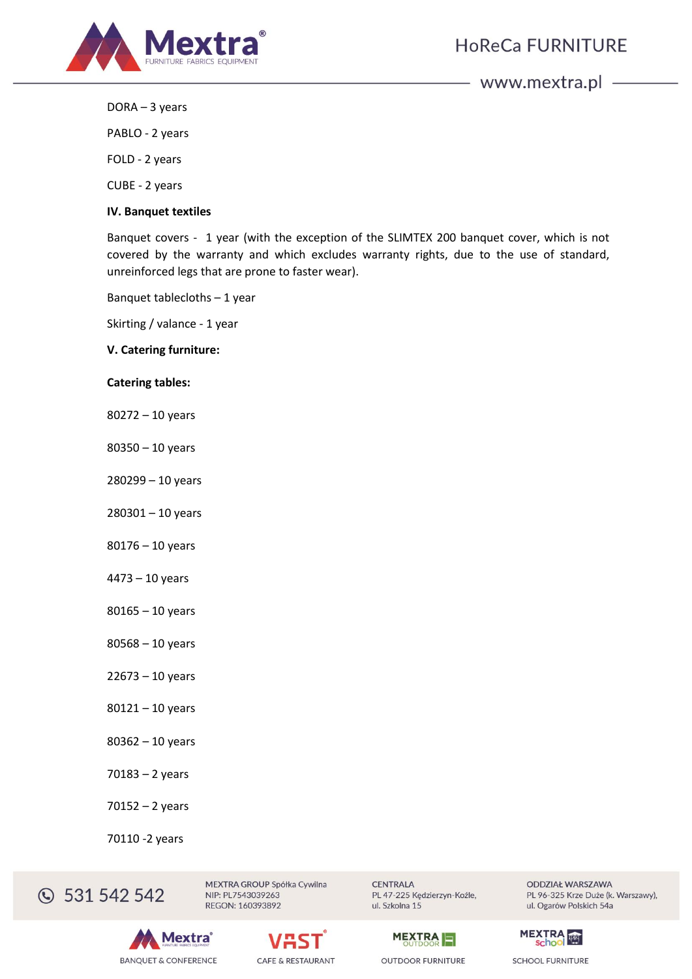

DORA – 3 years

PABLO - 2 years

FOLD - 2 years

CUBE - 2 years

#### **IV. Banquet textiles**

Banquet covers - 1 year (with the exception of the SLIMTEX 200 banquet cover, which is not covered by the warranty and which excludes warranty rights, due to the use of standard, unreinforced legs that are prone to faster wear).

Banquet tablecloths – 1 year

Skirting / valance - 1 year

# **V. Catering furniture:**

#### **Catering tables:**

- 80272 10 years
- 80350 10 years
- 280299 10 years
- 280301 10 years
- 80176 10 years
- 4473 10 years
- 80165 10 years
- 80568 10 years
- 22673 10 years
- 80121 10 years
- 80362 10 years
- 70183 2 years
- 70152 2 years
- 70110 -2 years

C 531 542 542

MEXTRA GROUP Spółka Cywilna NIP: PL7543039263 REGON: 160393892

**CENTRALA** PL 47-225 Kędzierzyn-Koźle, ul. Szkolna 15



**ODDZIAŁ WARSZAWA** PL 96-325 Krze Duże (k. Warszawy), ul. Ogarów Polskich 54a





**OUTDOOR FURNITURE** 

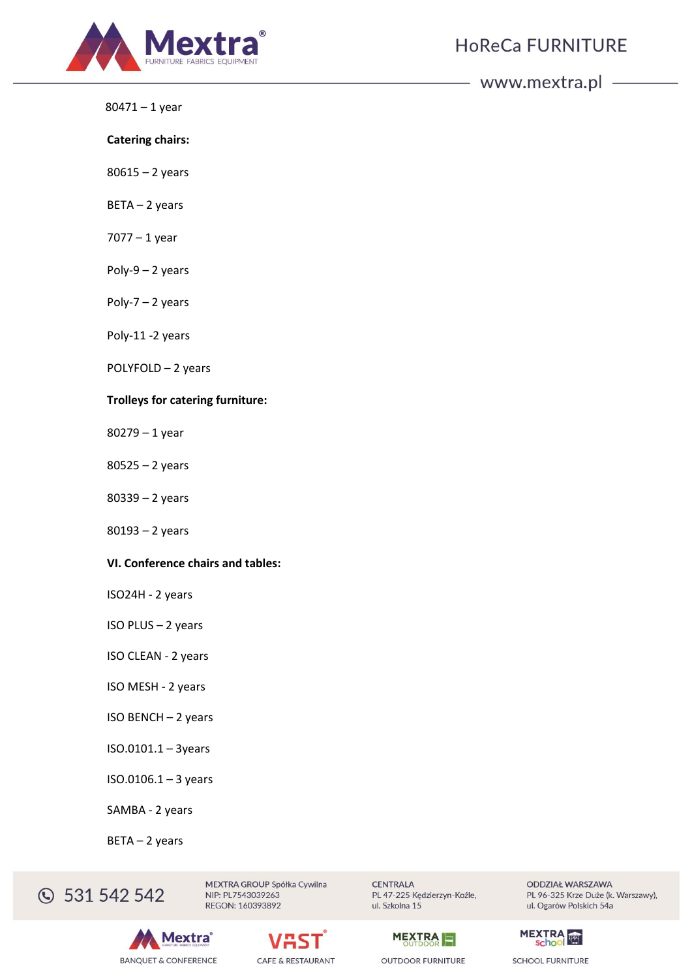

80471 – 1 year

**Catering chairs:**

80615 – 2 years

BETA – 2 years

7077 – 1 year

Poly-9  $-$  2 years

Poly-7 – 2 years

Poly-11 -2 years

POLYFOLD – 2 years

#### **Trolleys for catering furniture:**

80279 – 1 year

80525 – 2 years

80339 – 2 years

80193 – 2 years

#### **VI. Conference chairs and tables:**

ISO24H - 2 years

ISO PLUS – 2 years

ISO CLEAN - 2 years

ISO MESH - 2 years

ISO BENCH – 2 years

ISO.0101.1 – 3years

ISO.0106.1 – 3 years

SAMBA - 2 years

BETA – 2 years

**331 542 542** 

MEXTRA GROUP Spółka Cywilna NIP: PL7543039263 REGON: 160393892





**CENTRALA** PL 47-225 Kędzierzyn-Koźle, ul. Szkolna 15



**OUTDOOR FURNITURE** 

**ODDZIAŁ WARSZAWA** PL 96-325 Krze Duże (k. Warszawy), ul. Ogarów Polskich 54a

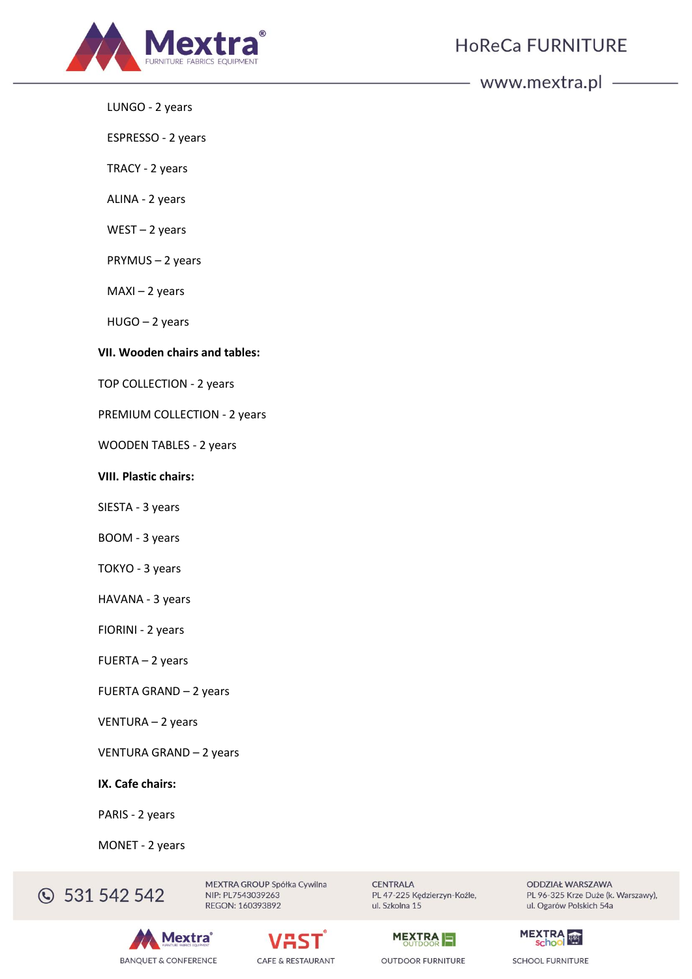

LUNGO - 2 years

ESPRESSO - 2 years

TRACY - 2 years

ALINA - 2 years

WEST – 2 years

PRYMUS – 2 years

MAXI – 2 years

HUGO – 2 years

#### **VII. Wooden chairs and tables:**

TOP COLLECTION - 2 years

PREMIUM COLLECTION - 2 years

WOODEN TABLES - 2 years

#### **VIII. Plastic chairs:**

SIESTA - 3 years

BOOM - 3 years

TOKYO - 3 years

HAVANA - 3 years

FIORINI - 2 years

FUERTA – 2 years

FUERTA GRAND – 2 years

VENTURA – 2 years

VENTURA GRAND – 2 years

**IX. Cafe chairs:**

PARIS - 2 years

MONET - 2 years

**331 542 542** 

MEXTRA GROUP Spółka Cywilna NIP: PL7543039263 REGON: 160393892





**CENTRALA** PL 47-225 Kędzierzyn-Koźle, ul. Szkolna 15



**OUTDOOR FURNITURE** 

**ODDZIAŁ WARSZAWA** PL 96-325 Krze Duże (k. Warszawy), ul. Ogarów Polskich 54a

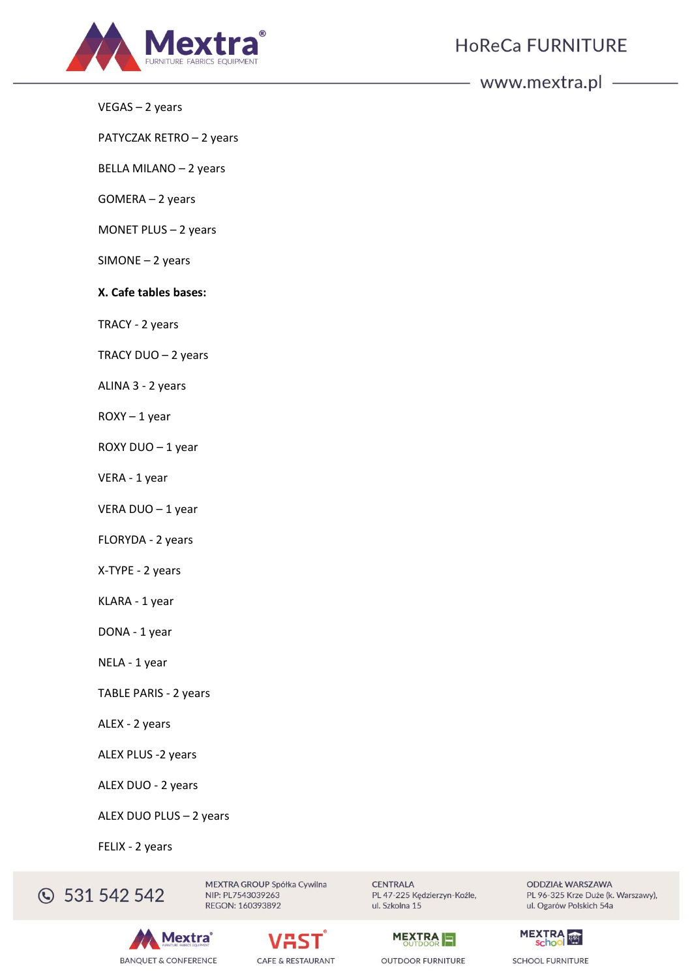

VEGAS – 2 years

PATYCZAK RETRO – 2 years

BELLA MILANO – 2 years

GOMERA – 2 years

MONET PLUS – 2 years

SIMONE – 2 years

**X. Cafe tables bases:** 

TRACY - 2 years

TRACY DUO – 2 years

ALINA 3 - 2 years

ROXY – 1 year

ROXY DUO – 1 year

VERA - 1 year

VERA DUO – 1 year

FLORYDA - 2 years

X-TYPE - 2 years

KLARA - 1 year

DONA - 1 year

NELA - 1 year

TABLE PARIS - 2 years

ALEX - 2 years

ALEX PLUS -2 years

ALEX DUO - 2 years

ALEX DUO PLUS – 2 years

FELIX - 2 years

**331 542 542** 

MEXTRA GROUP Spółka Cywilna NIP: PL7543039263 REGON: 160393892





**CENTRALA** PL 47-225 Kędzierzyn-Koźle, ul. Szkolna 15



**OUTDOOR FURNITURE** 

**ODDZIAŁ WARSZAWA** PL 96-325 Krze Duże (k. Warszawy), ul. Ogarów Polskich 54a

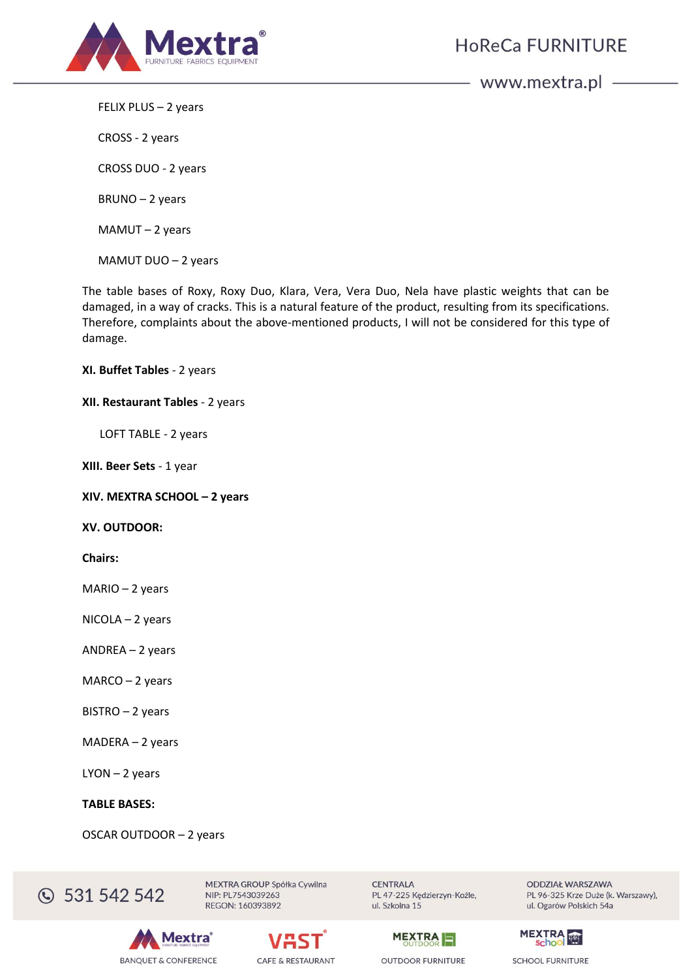

**HoReCa FURNITURE** 

www.mextra.pl -

FELIX PLUS – 2 years

CROSS - 2 years

CROSS DUO - 2 years

BRUNO – 2 years

MAMUT – 2 years

MAMUT DUO – 2 years

The table bases of Roxy, Roxy Duo, Klara, Vera, Vera Duo, Nela have plastic weights that can be damaged, in a way of cracks. This is a natural feature of the product, resulting from its specifications. Therefore, complaints about the above-mentioned products, I will not be considered for this type of damage.

**XI. Buffet Tables** - 2 years

#### **XII. Restaurant Tables** - 2 years

LOFT TABLE - 2 years

**XIII. Beer Sets** - 1 year

**XIV. MEXTRA SCHOOL – 2 years** 

**XV. OUTDOOR:**

**Chairs:**

MARIO – 2 years

NICOLA – 2 years

ANDREA – 2 years

MARCO – 2 years

BISTRO – 2 years

MADERA – 2 years

LYON – 2 years

#### **TABLE BASES:**

OSCAR OUTDOOR – 2 years



MEXTRA GROUP Spółka Cywilna NIP: PL7543039263 REGON: 160393892

**lextra BANQUET & CONFERENCE** 



**CENTRALA** PL 47-225 Kędzierzyn-Koźle, ul. Szkolna 15



**ODDZIAŁ WARSZAWA** PL 96-325 Krze Duże (k. Warszawy), ul. Ogarów Polskich 54a

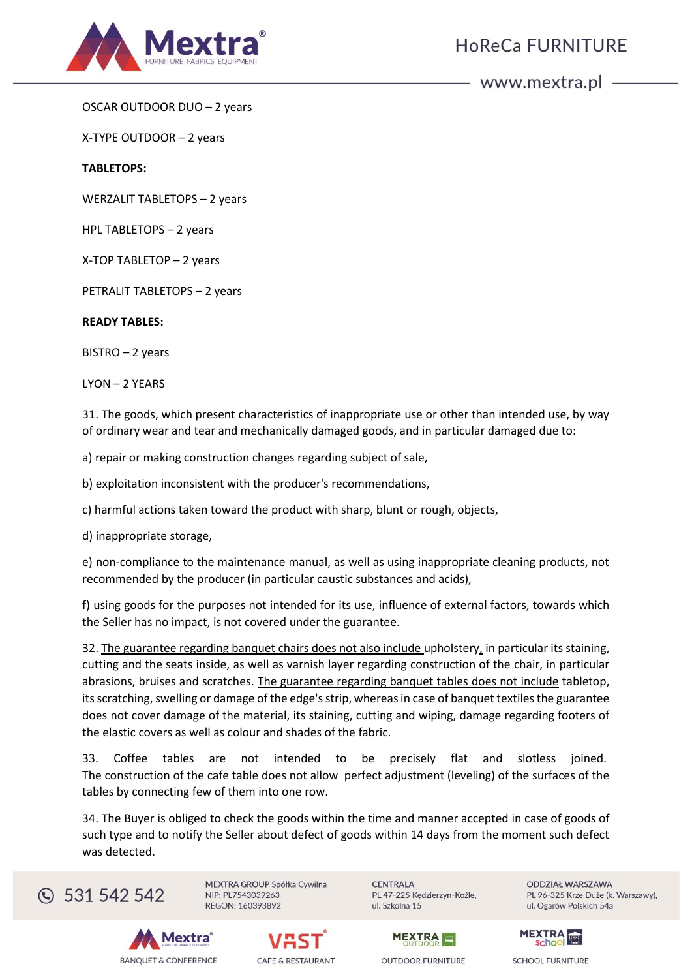

OSCAR OUTDOOR DUO – 2 years

X-TYPE OUTDOOR – 2 years

**TABLETOPS:**

WERZALIT TABLETOPS – 2 years

HPL TABLETOPS – 2 years

X-TOP TABLETOP – 2 years

PETRALIT TABLETOPS – 2 years

### **READY TABLES:**

BISTRO – 2 years

LYON – 2 YEARS

31. The goods, which present characteristics of inappropriate use or other than intended use, by way of ordinary wear and tear and mechanically damaged goods, and in particular damaged due to:

a) repair or making construction changes regarding subject of sale,

b) exploitation inconsistent with the producer's recommendations,

c) harmful actions taken toward the product with sharp, blunt or rough, objects,

d) inappropriate storage,

e) non-compliance to the maintenance manual, as well as using inappropriate cleaning products, not recommended by the producer (in particular caustic substances and acids),

f) using goods for the purposes not intended for its use, influence of external factors, towards which the Seller has no impact, is not covered under the guarantee.

32. The guarantee regarding banquet chairs does not also include upholstery, in particular its staining, cutting and the seats inside, as well as varnish layer regarding construction of the chair, in particular abrasions, bruises and scratches. The guarantee regarding banquet tables does not include tabletop, its scratching, swelling or damage of the edge's strip, whereas in case of banquet textiles the guarantee does not cover damage of the material, its staining, cutting and wiping, damage regarding footers of the elastic covers as well as colour and shades of the fabric.

33. Coffee tables are not intended to be precisely flat and slotless joined. The construction of the cafe table does not allow perfect adjustment (leveling) of the surfaces of the tables by connecting few of them into one row.

34. The Buyer is obliged to check the goods within the time and manner accepted in case of goods of such type and to notify the Seller about defect of goods within 14 days from the moment such defect was detected.



MEXTRA GROUP Spółka Cywilna NIP: PL7543039263 REGON: 160393892

**CENTRALA** PL 47-225 Kędzierzyn-Koźle, ul. Szkolna 15

**ODDZIAŁ WARSZAWA** PL 96-325 Krze Duże (k. Warszawy), ul. Ogarów Polskich 54a







**OUTDOOR FURNITURE** 

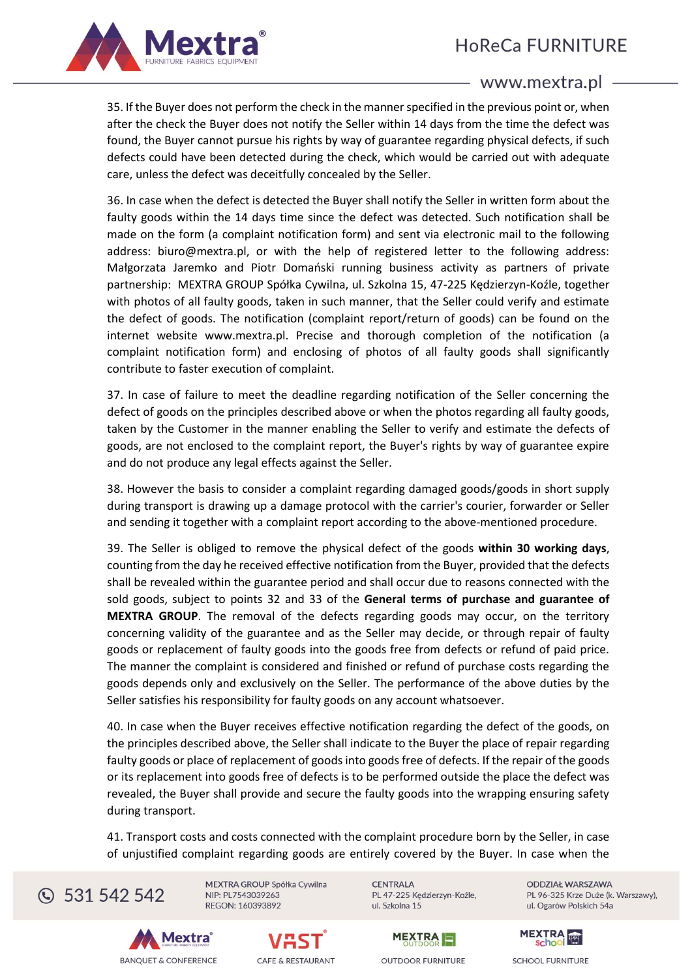

35. If the Buyer does not perform the check in the manner specified in the previous point or, when after the check the Buyer does not notify the Seller within 14 days from the time the defect was found, the Buyer cannot pursue his rights by way of guarantee regarding physical defects, if such defects could have been detected during the check, which would be carried out with adequate care, unless the defect was deceitfully concealed by the Seller.

36. In case when the defect is detected the Buyer shall notify the Seller in written form about the faulty goods within the 14 days time since the defect was detected. Such notification shall be made on the form (a complaint notification form) and sent via electronic mail to the following address: biuro@mextra.pl, or with the help of registered letter to the following address: Małgorzata Jaremko and Piotr Domański running business activity as partners of private partnership: MEXTRA GROUP Spółka Cywilna, ul. Szkolna 15, 47-225 Kędzierzyn-Koźle, together with photos of all faulty goods, taken in such manner, that the Seller could verify and estimate the defect of goods. The notification (complaint report/return of goods) can be found on the internet website www.mextra.pl. Precise and thorough completion of the notification (a complaint notification form) and enclosing of photos of all faulty goods shall significantly contribute to faster execution of complaint.

37. In case of failure to meet the deadline regarding notification of the Seller concerning the defect of goods on the principles described above or when the photos regarding all faulty goods, taken by the Customer in the manner enabling the Seller to verify and estimate the defects of goods, are not enclosed to the complaint report, the Buyer's rights by way of guarantee expire and do not produce any legal effects against the Seller.

38. However the basis to consider a complaint regarding damaged goods/goods in short supply during transport is drawing up a damage protocol with the carrier's courier, forwarder or Seller and sending it together with a complaint report according to the above-mentioned procedure.

39. The Seller is obliged to remove the physical defect of the goods **within 30 working days**, counting from the day he received effective notification from the Buyer, provided that the defects shall be revealed within the guarantee period and shall occur due to reasons connected with the sold goods, subject to points 32 and 33 of the **General terms of purchase and guarantee of MEXTRA GROUP**. The removal of the defects regarding goods may occur, on the territory concerning validity of the guarantee and as the Seller may decide, or through repair of faulty goods or replacement of faulty goods into the goods free from defects or refund of paid price. The manner the complaint is considered and finished or refund of purchase costs regarding the goods depends only and exclusively on the Seller. The performance of the above duties by the Seller satisfies his responsibility for faulty goods on any account whatsoever.

40. In case when the Buyer receives effective notification regarding the defect of the goods, on the principles described above, the Seller shall indicate to the Buyer the place of repair regarding faulty goods or place of replacement of goods into goods free of defects. If the repair of the goods or its replacement into goods free of defects is to be performed outside the place the defect was revealed, the Buyer shall provide and secure the faulty goods into the wrapping ensuring safety during transport.

41. Transport costs and costs connected with the complaint procedure born by the Seller, in case of unjustified complaint regarding goods are entirely covered by the Buyer. In case when the



MEXTRA GROUP Spółka Cywilna NIP: PL7543039263 REGON: 160393892

**CENTRALA** PL 47-225 Kędzierzyn-Koźle, ul. Szkolna 15









**OUTDOOR FURNITURE** 

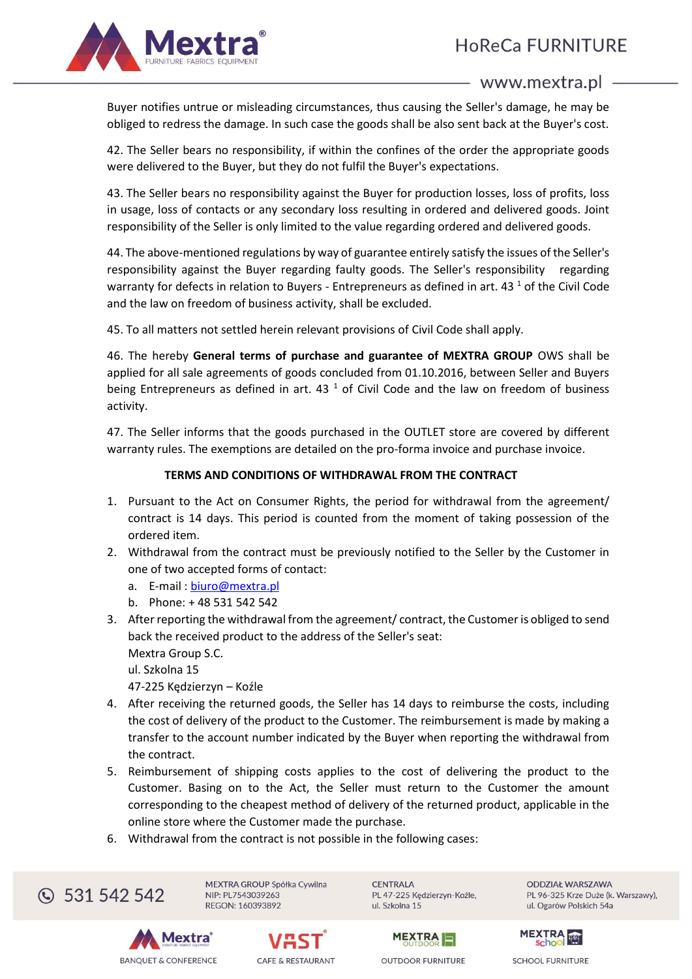HoReCa FURNITURE



# www.mextra.pl -

Buyer notifies untrue or misleading circumstances, thus causing the Seller's damage, he may be obliged to redress the damage. In such case the goods shall be also sent back at the Buyer's cost.

42. The Seller bears no responsibility, if within the confines of the order the appropriate goods were delivered to the Buyer, but they do not fulfil the Buyer's expectations.

43. The Seller bears no responsibility against the Buyer for production losses, loss of profits, loss in usage, loss of contacts or any secondary loss resulting in ordered and delivered goods. Joint responsibility of the Seller is only limited to the value regarding ordered and delivered goods.

44. The above-mentioned regulations by way of guarantee entirely satisfy the issues of the Seller's responsibility against the Buyer regarding faulty goods. The Seller's responsibility regarding warranty for defects in relation to Buyers - Entrepreneurs as defined in art. 43 $<sup>1</sup>$  of the Civil Code</sup> and the law on freedom of business activity, shall be excluded.

45. To all matters not settled herein relevant provisions of Civil Code shall apply.

46. The hereby **General terms of purchase and guarantee of MEXTRA GROUP** OWS shall be applied for all sale agreements of goods concluded from 01.10.2016, between Seller and Buyers being Entrepreneurs as defined in art.  $43<sup>1</sup>$  of Civil Code and the law on freedom of business activity.

47. The Seller informs that the goods purchased in the OUTLET store are covered by different warranty rules. The exemptions are detailed on the pro-forma invoice and purchase invoice.

# **TERMS AND CONDITIONS OF WITHDRAWAL FROM THE CONTRACT**

- 1. Pursuant to the Act on Consumer Rights, the period for withdrawal from the agreement/ contract is 14 days. This period is counted from the moment of taking possession of the ordered item.
- 2. Withdrawal from the contract must be previously notified to the Seller by the Customer in one of two accepted forms of contact:
	- a. E-mail : [biuro@mextra.pl](mailto:biuro@mextra.pl)
	- b. Phone: + 48 531 542 542
- 3. After reporting the withdrawal from the agreement/ contract, the Customer is obliged to send back the received product to the address of the Seller's seat: Mextra Group S.C.

ul. Szkolna 15

47-225 Kędzierzyn – Koźle

- 4. After receiving the returned goods, the Seller has 14 days to reimburse the costs, including the cost of delivery of the product to the Customer. The reimbursement is made by making a transfer to the account number indicated by the Buyer when reporting the withdrawal from the contract.
- 5. Reimbursement of shipping costs applies to the cost of delivering the product to the Customer. Basing on to the Act, the Seller must return to the Customer the amount corresponding to the cheapest method of delivery of the returned product, applicable in the online store where the Customer made the purchase.
- 6. Withdrawal from the contract is not possible in the following cases:

C 531 542 542

MEXTRA GROUP Spółka Cywilna NIP: PL7543039263 REGON: 160393892

**CENTRALA** PL 47-225 Kędzierzyn-Koźle, ul. Szkolna 15

**ODDZIAŁ WARSZAWA** PL 96-325 Krze Duże (k. Warszawy), ul. Ogarów Polskich 54a







**OUTDOOR FURNITURE** 

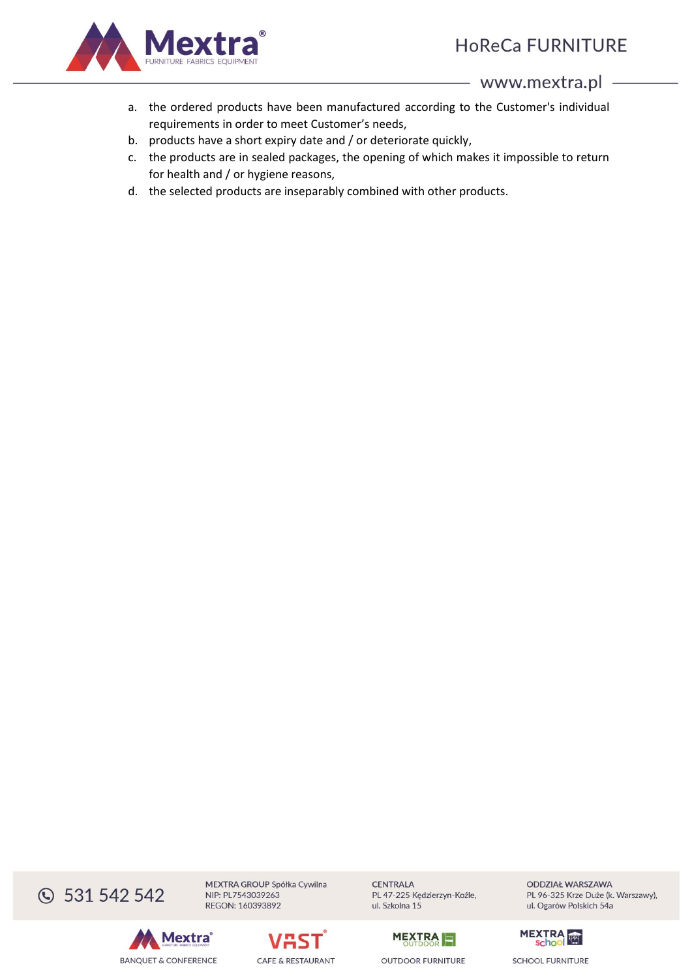

- a. the ordered products have been manufactured according to the Customer's individual requirements in order to meet Customer's needs,
- b. products have a short expiry date and / or deteriorate quickly,
- c. the products are in sealed packages, the opening of which makes it impossible to return for health and / or hygiene reasons,
- d. the selected products are inseparably combined with other products.

**331 542 542** 



MEXTRA GROUP Spółka Cywilna NIP: PL7543039263 REGON: 160393892



**CENTRALA** PL 47-225 Kędzierzyn-Koźle, ul. Szkolna 15



**OUTDOOR FURNITURE** 



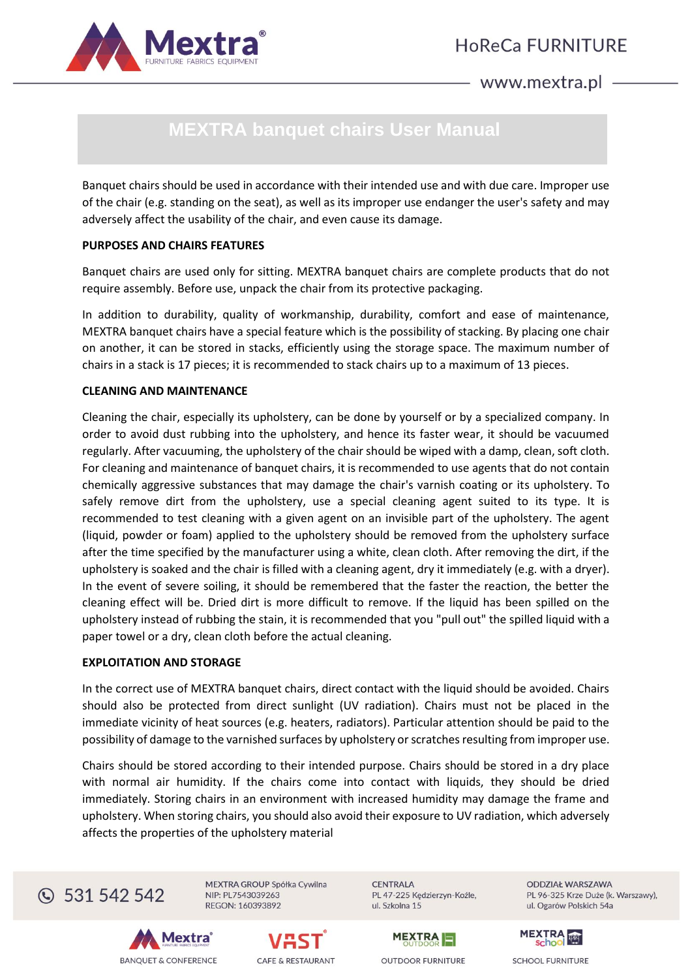

# **MEXTRA banquet chairs User Manual**

Banquet chairs should be used in accordance with their intended use and with due care. Improper use of the chair (e.g. standing on the seat), as well as its improper use endanger the user's safety and may adversely affect the usability of the chair, and even cause its damage.

# **PURPOSES AND CHAIRS FEATURES**

Banquet chairs are used only for sitting. MEXTRA banquet chairs are complete products that do not require assembly. Before use, unpack the chair from its protective packaging.

In addition to durability, quality of workmanship, durability, comfort and ease of maintenance, MEXTRA banquet chairs have a special feature which is the possibility of stacking. By placing one chair on another, it can be stored in stacks, efficiently using the storage space. The maximum number of chairs in a stack is 17 pieces; it is recommended to stack chairs up to a maximum of 13 pieces.

# **CLEANING AND MAINTENANCE**

Cleaning the chair, especially its upholstery, can be done by yourself or by a specialized company. In order to avoid dust rubbing into the upholstery, and hence its faster wear, it should be vacuumed regularly. After vacuuming, the upholstery of the chair should be wiped with a damp, clean, soft cloth. For cleaning and maintenance of banquet chairs, it is recommended to use agents that do not contain chemically aggressive substances that may damage the chair's varnish coating or its upholstery. To safely remove dirt from the upholstery, use a special cleaning agent suited to its type. It is recommended to test cleaning with a given agent on an invisible part of the upholstery. The agent (liquid, powder or foam) applied to the upholstery should be removed from the upholstery surface after the time specified by the manufacturer using a white, clean cloth. After removing the dirt, if the upholstery is soaked and the chair is filled with a cleaning agent, dry it immediately (e.g. with a dryer). In the event of severe soiling, it should be remembered that the faster the reaction, the better the cleaning effect will be. Dried dirt is more difficult to remove. If the liquid has been spilled on the upholstery instead of rubbing the stain, it is recommended that you "pull out" the spilled liquid with a paper towel or a dry, clean cloth before the actual cleaning.

# **EXPLOITATION AND STORAGE**

In the correct use of MEXTRA banquet chairs, direct contact with the liquid should be avoided. Chairs should also be protected from direct sunlight (UV radiation). Chairs must not be placed in the immediate vicinity of heat sources (e.g. heaters, radiators). Particular attention should be paid to the possibility of damage to the varnished surfaces by upholstery or scratches resulting from improper use.

Chairs should be stored according to their intended purpose. Chairs should be stored in a dry place with normal air humidity. If the chairs come into contact with liquids, they should be dried immediately. Storing chairs in an environment with increased humidity may damage the frame and upholstery. When storing chairs, you should also avoid their exposure to UV radiation, which adversely affects the properties of the upholstery material



MEXTRA GROUP Spółka Cywilna NIP: PL7543039263 REGON: 160393892

**CENTRALA** PL 47-225 Kędzierzyn-Koźle, ul. Szkolna 15







**MEXTRA** 



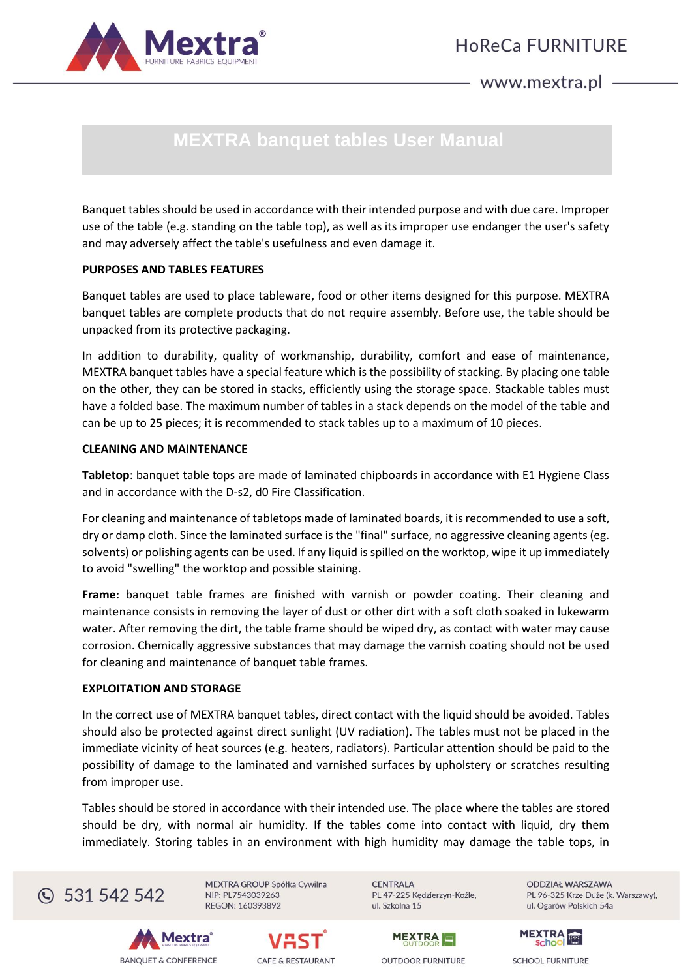

# **MEXTRA banquet tables User Manual**

Banquet tables should be used in accordance with their intended purpose and with due care. Improper use of the table (e.g. standing on the table top), as well as its improper use endanger the user's safety and may adversely affect the table's usefulness and even damage it.

# **PURPOSES AND TABLES FEATURES**

Banquet tables are used to place tableware, food or other items designed for this purpose. MEXTRA banquet tables are complete products that do not require assembly. Before use, the table should be unpacked from its protective packaging.

In addition to durability, quality of workmanship, durability, comfort and ease of maintenance, MEXTRA banquet tables have a special feature which is the possibility of stacking. By placing one table on the other, they can be stored in stacks, efficiently using the storage space. Stackable tables must have a folded base. The maximum number of tables in a stack depends on the model of the table and can be up to 25 pieces; it is recommended to stack tables up to a maximum of 10 pieces.

# **CLEANING AND MAINTENANCE**

**Tabletop**: banquet table tops are made of laminated chipboards in accordance with E1 Hygiene Class and in accordance with the D-s2, d0 Fire Classification.

For cleaning and maintenance of tabletops made of laminated boards, it is recommended to use a soft, dry or damp cloth. Since the laminated surface is the "final" surface, no aggressive cleaning agents (eg. solvents) or polishing agents can be used. If any liquid is spilled on the worktop, wipe it up immediately to avoid "swelling" the worktop and possible staining.

**Frame:** banquet table frames are finished with varnish or powder coating. Their cleaning and maintenance consists in removing the layer of dust or other dirt with a soft cloth soaked in lukewarm water. After removing the dirt, the table frame should be wiped dry, as contact with water may cause corrosion. Chemically aggressive substances that may damage the varnish coating should not be used for cleaning and maintenance of banquet table frames.

### **EXPLOITATION AND STORAGE**

In the correct use of MEXTRA banquet tables, direct contact with the liquid should be avoided. Tables should also be protected against direct sunlight (UV radiation). The tables must not be placed in the immediate vicinity of heat sources (e.g. heaters, radiators). Particular attention should be paid to the possibility of damage to the laminated and varnished surfaces by upholstery or scratches resulting from improper use.

Tables should be stored in accordance with their intended use. The place where the tables are stored should be dry, with normal air humidity. If the tables come into contact with liquid, dry them immediately. Storing tables in an environment with high humidity may damage the table tops, in



MEXTRA GROUP Spółka Cywilna NIP: PL7543039263 REGON: 160393892

**CENTRALA** PL 47-225 Kędzierzyn-Koźle, ul. Szkolna 15

**ODDZIAŁ WARSZAWA** PL 96-325 Krze Duże (k. Warszawy), ul. Ogarów Polskich 54a







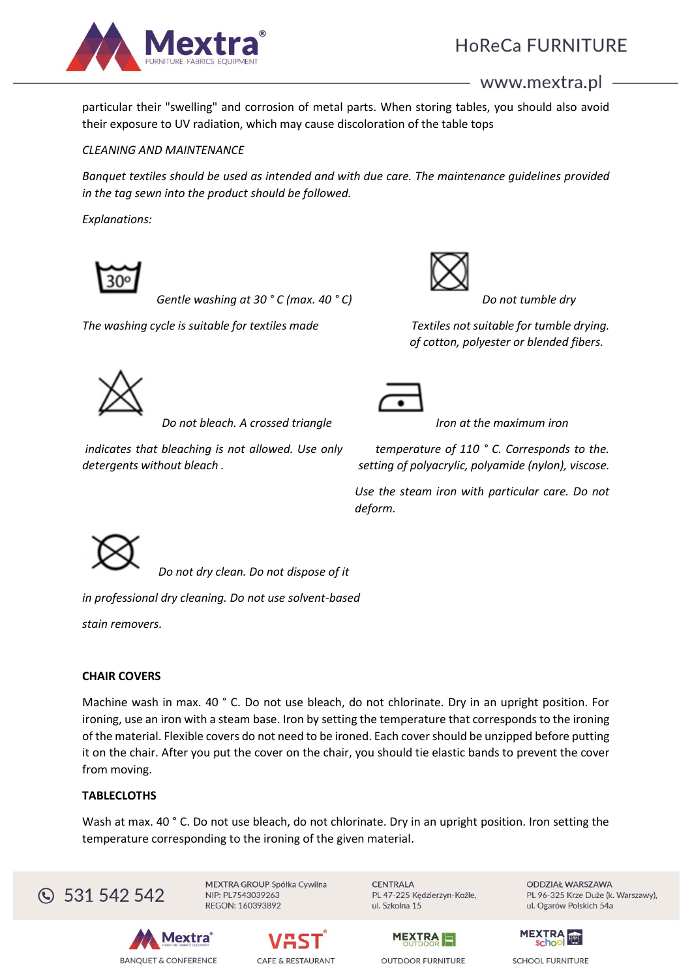

particular their "swelling" and corrosion of metal parts. When storing tables, you should also avoid their exposure to UV radiation, which may cause discoloration of the table tops

# *CLEANING AND MAINTENANCE*

*Banquet textiles should be used as intended and with due care. The maintenance guidelines provided in the tag sewn into the product should be followed.*

*Explanations:*



*Gentle washing at 30 ° C (max. 40 ° C) Do not tumble dry*

*The washing cycle is suitable for textiles made Textiles not suitable for tumble drying.*



 *of cotton, polyester or blended fibers.*



*Do not bleach. A crossed triangle Iron at the maximum iron* 

*indicates that bleaching is not allowed. Use only temperature of 110 ° C. Corresponds to the. detergents without bleach . setting of polyacrylic, polyamide (nylon), viscose.*



*Use the steam iron with particular care. Do not deform.*



*Do not dry clean. Do not dispose of it* 

*in professional dry cleaning. Do not use solvent-based* 

*stain removers.*

# **CHAIR COVERS**

Machine wash in max. 40 ° C. Do not use bleach, do not chlorinate. Dry in an upright position. For ironing, use an iron with a steam base. Iron by setting the temperature that corresponds to the ironing of the material. Flexible covers do not need to be ironed. Each cover should be unzipped before putting it on the chair. After you put the cover on the chair, you should tie elastic bands to prevent the cover from moving.

# **TABLECLOTHS**

Wash at max. 40 ° C. Do not use bleach, do not chlorinate. Dry in an upright position. Iron setting the temperature corresponding to the ironing of the given material.



MEXTRA GROUP Spółka Cywilna NIP: PL7543039263 REGON: 160393892

**CENTRALA** PL 47-225 Kędzierzyn-Koźle, ul. Szkolna 15



**ODDZIAŁ WARSZAWA** PL 96-325 Krze Duże (k. Warszawy), ul. Ogarów Polskich 54a





**OUTDOOR FURNITURE** 

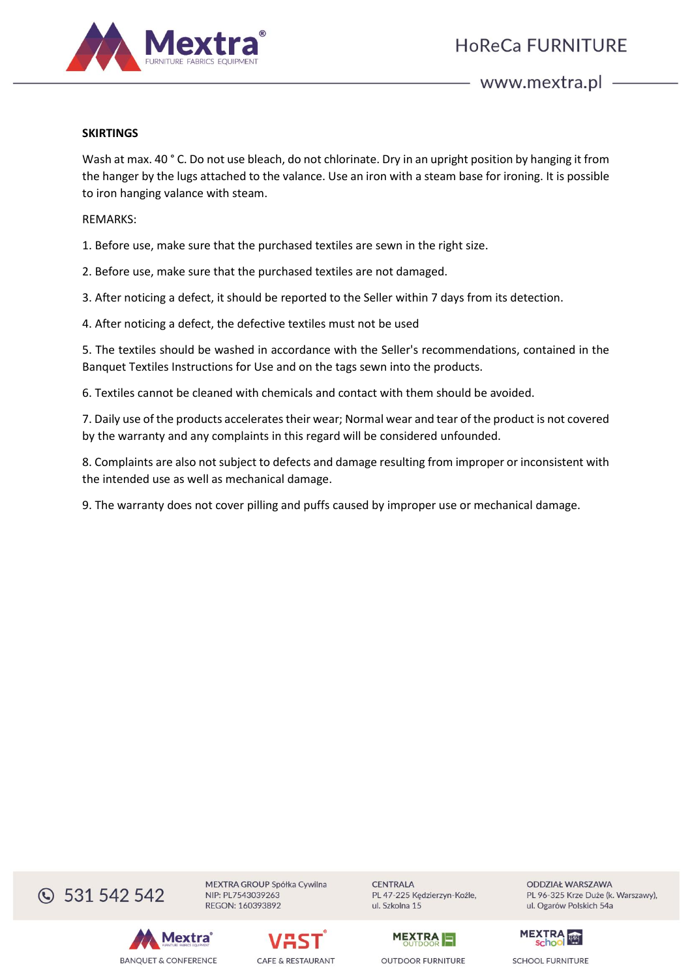

# **SKIRTINGS**

Wash at max. 40 ° C. Do not use bleach, do not chlorinate. Dry in an upright position by hanging it from the hanger by the lugs attached to the valance. Use an iron with a steam base for ironing. It is possible to iron hanging valance with steam.

#### REMARKS:

1. Before use, make sure that the purchased textiles are sewn in the right size.

2. Before use, make sure that the purchased textiles are not damaged.

3. After noticing a defect, it should be reported to the Seller within 7 days from its detection.

4. After noticing a defect, the defective textiles must not be used

5. The textiles should be washed in accordance with the Seller's recommendations, contained in the Banquet Textiles Instructions for Use and on the tags sewn into the products.

6. Textiles cannot be cleaned with chemicals and contact with them should be avoided.

7. Daily use of the products accelerates their wear; Normal wear and tear of the product is not covered by the warranty and any complaints in this regard will be considered unfounded.

8. Complaints are also not subject to defects and damage resulting from improper or inconsistent with the intended use as well as mechanical damage.

9. The warranty does not cover pilling and puffs caused by improper use or mechanical damage.



Mextra

**BANQUET & CONFERENCE** 



MEXTRA GROUP Spółka Cywilna

NIP: PL7543039263

REGON: 160393892

**CENTRALA** PL 47-225 Kędzierzyn-Koźle, ul. Szkolna 15



**ODDZIAŁ WARSZAWA** PL 96-325 Krze Duże (k. Warszawy), ul. Ogarów Polskich 54a

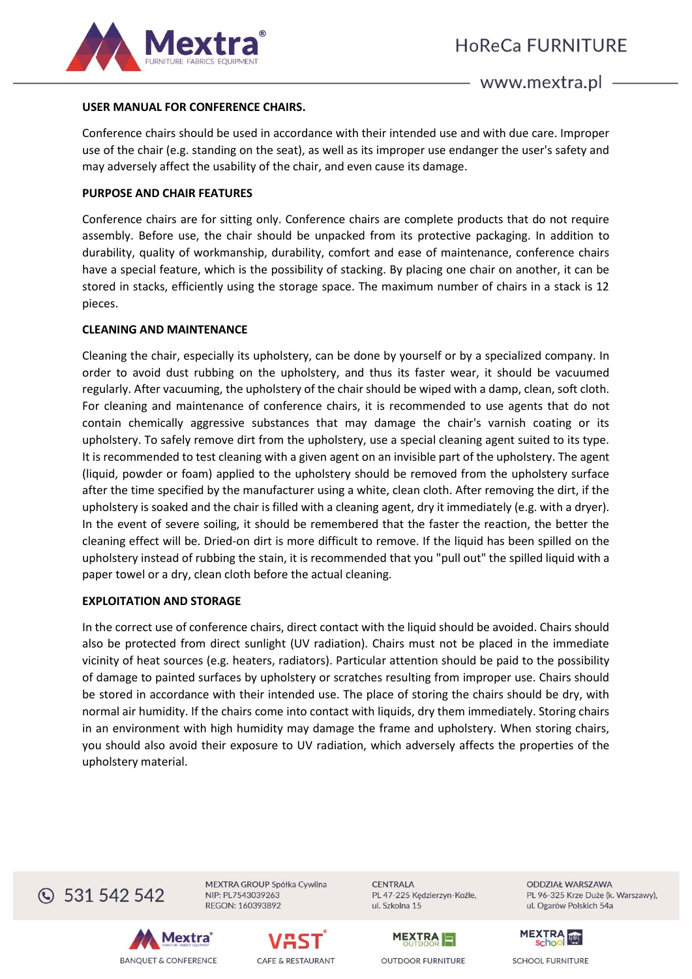

## **USER MANUAL FOR CONFERENCE CHAIRS.**

Conference chairs should be used in accordance with their intended use and with due care. Improper use of the chair (e.g. standing on the seat), as well as its improper use endanger the user's safety and may adversely affect the usability of the chair, and even cause its damage.

### **PURPOSE AND CHAIR FEATURES**

Conference chairs are for sitting only. Conference chairs are complete products that do not require assembly. Before use, the chair should be unpacked from its protective packaging. In addition to durability, quality of workmanship, durability, comfort and ease of maintenance, conference chairs have a special feature, which is the possibility of stacking. By placing one chair on another, it can be stored in stacks, efficiently using the storage space. The maximum number of chairs in a stack is 12 pieces.

#### **CLEANING AND MAINTENANCE**

Cleaning the chair, especially its upholstery, can be done by yourself or by a specialized company. In order to avoid dust rubbing on the upholstery, and thus its faster wear, it should be vacuumed regularly. After vacuuming, the upholstery of the chair should be wiped with a damp, clean, soft cloth. For cleaning and maintenance of conference chairs, it is recommended to use agents that do not contain chemically aggressive substances that may damage the chair's varnish coating or its upholstery. To safely remove dirt from the upholstery, use a special cleaning agent suited to its type. It is recommended to test cleaning with a given agent on an invisible part of the upholstery. The agent (liquid, powder or foam) applied to the upholstery should be removed from the upholstery surface after the time specified by the manufacturer using a white, clean cloth. After removing the dirt, if the upholstery is soaked and the chair is filled with a cleaning agent, dry it immediately (e.g. with a dryer). In the event of severe soiling, it should be remembered that the faster the reaction, the better the cleaning effect will be. Dried-on dirt is more difficult to remove. If the liquid has been spilled on the upholstery instead of rubbing the stain, it is recommended that you "pull out" the spilled liquid with a paper towel or a dry, clean cloth before the actual cleaning.

### **EXPLOITATION AND STORAGE**

In the correct use of conference chairs, direct contact with the liquid should be avoided. Chairs should also be protected from direct sunlight (UV radiation). Chairs must not be placed in the immediate vicinity of heat sources (e.g. heaters, radiators). Particular attention should be paid to the possibility of damage to painted surfaces by upholstery or scratches resulting from improper use. Chairs should be stored in accordance with their intended use. The place of storing the chairs should be dry, with normal air humidity. If the chairs come into contact with liquids, dry them immediately. Storing chairs in an environment with high humidity may damage the frame and upholstery. When storing chairs, you should also avoid their exposure to UV radiation, which adversely affects the properties of the upholstery material.



MEXTRA GROUP Spółka Cywilna NIP: PL7543039263 REGON: 160393892





**CENTRALA** PL 47-225 Kędzierzyn-Koźle, ul. Szkolna 15



**ODDZIAŁ WARSZAWA** PL 96-325 Krze Duże (k. Warszawy), ul. Ogarów Polskich 54a